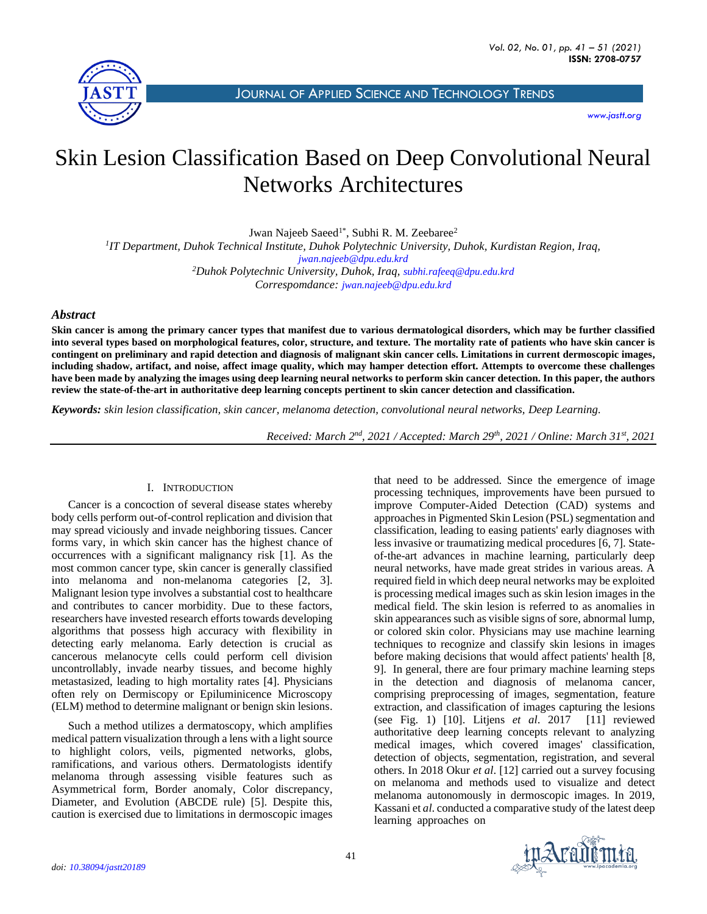

JOURNAL OF APPLIED SCIENCE AND T[ECHNOLOGY](http://jastt.org/index.php/index) TRENDS

*[www.jastt.org](http://www.jastt.org/)*

# Skin Lesion Classification Based on Deep Convolutional Neural Networks Architectures

Jwan Najeeb Saeed<sup>1\*</sup>, Subhi R. M. Zeebaree<sup>2</sup>

*1 IT Department, Duhok Technical Institute, Duhok Polytechnic University, Duhok, Kurdistan Region, Iraq, [jwan.najeeb@dpu.edu.krd](mailto:jwan.najeeb@dpu.edu.krd) <sup>2</sup>Duhok Polytechnic University, Duhok, Iraq, [subhi.rafeeq@dpu.edu.krd](mailto:subhi.rafeeq@dpu.edu.krd)*

*Correspomdance: [jwan.najeeb@dpu.edu.krd](mailto:jwan.najeeb@dpu.edu.krd)*

## *Abstract*

**Skin cancer is among the primary cancer types that manifest due to various dermatological disorders, which may be further classified into several types based on morphological features, color, structure, and texture. The mortality rate of patients who have skin cancer is contingent on preliminary and rapid detection and diagnosis of malignant skin cancer cells. Limitations in current dermoscopic images, including shadow, artifact, and noise, affect image quality, which may hamper detection effort. Attempts to overcome these challenges have been made by analyzing the images using deep learning neural networks to perform skin cancer detection. In this paper, the authors review the state-of-the-art in authoritative deep learning concepts pertinent to skin cancer detection and classification.**

*Keywords: skin lesion classification, skin cancer, melanoma detection, convolutional neural networks, Deep Learning.*

*Received: March 2nd, 2021 / Accepted: March 29th, 2021 / Online: March 31st, 2021*

## I. INTRODUCTION

Cancer is a concoction of several disease states whereby body cells perform out-of-control replication and division that may spread viciously and invade neighboring tissues. Cancer forms vary, in which skin cancer has the highest chance of occurrences with a significant malignancy risk [1]. As the most common cancer type, skin cancer is generally classified into melanoma and non-melanoma categories [2, 3]. Malignant lesion type involves a substantial cost to healthcare and contributes to cancer morbidity. Due to these factors, researchers have invested research efforts towards developing algorithms that possess high accuracy with flexibility in detecting early melanoma. Early detection is crucial as cancerous melanocyte cells could perform cell division uncontrollably, invade nearby tissues, and become highly metastasized, leading to high mortality rates [4]. Physicians often rely on Dermiscopy or Epiluminicence Microscopy (ELM) method to determine malignant or benign skin lesions.

Such a method utilizes a dermatoscopy, which amplifies medical pattern visualization through a lens with a light source to highlight colors, veils, pigmented networks, globs, ramifications, and various others. Dermatologists identify melanoma through assessing visible features such as Asymmetrical form, Border anomaly, Color discrepancy, Diameter, and Evolution (ABCDE rule) [5]. Despite this, caution is exercised due to limitations in dermoscopic images that need to be addressed. Since the emergence of image processing techniques, improvements have been pursued to improve Computer-Aided Detection (CAD) systems and approaches in Pigmented Skin Lesion (PSL) segmentation and classification, leading to easing patients' early diagnoses with less invasive or traumatizing medical procedures [6, 7]. Stateof-the-art advances in machine learning, particularly deep neural networks, have made great strides in various areas. A required field in which deep neural networks may be exploited is processing medical images such as skin lesion images in the medical field. The skin lesion is referred to as anomalies in skin appearances such as visible signs of sore, abnormal lump, or colored skin color. Physicians may use machine learning techniques to recognize and classify skin lesions in images before making decisions that would affect patients' health [8, 9]. In general, there are four primary machine learning steps in the detection and diagnosis of melanoma cancer, comprising preprocessing of images, segmentation, feature extraction, and classification of images capturing the lesions (see Fig. 1) [10]. Litjens *et al*. 2017 [11] reviewed authoritative deep learning concepts relevant to analyzing medical images, which covered images' classification, detection of objects, segmentation, registration, and several others. In 2018 Okur *et al*. [12] carried out a survey focusing on melanoma and methods used to visualize and detect melanoma autonomously in dermoscopic images. In 2019, Kassani et *al*. conducted a comparative study of the latest deep learning approaches on

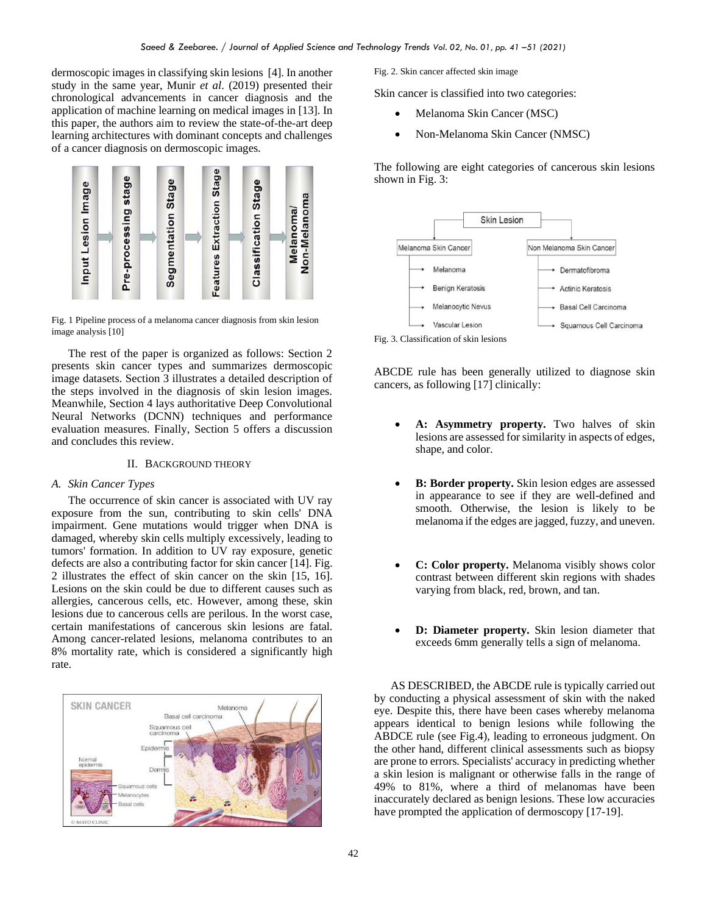dermoscopic images in classifying skin lesions [4]. In another study in the same year, Munir *et al*. (2019) presented their chronological advancements in cancer diagnosis and the application of machine learning on medical images in [13]. In this paper, the authors aim to review the state-of-the-art deep learning architectures with dominant concepts and challenges of a cancer diagnosis on dermoscopic images.



Fig. 1 Pipeline process of a melanoma cancer diagnosis from skin lesion image analysis [10]

The rest of the paper is organized as follows: Section 2 presents skin cancer types and summarizes dermoscopic image datasets. Section 3 illustrates a detailed description of the steps involved in the diagnosis of skin lesion images. Meanwhile, Section 4 lays authoritative Deep Convolutional Neural Networks (DCNN) techniques and performance evaluation measures. Finally, Section 5 offers a discussion and concludes this review.

## II. BACKGROUND THEORY

#### *A. Skin Cancer Types*

The occurrence of skin cancer is associated with UV ray exposure from the sun, contributing to skin cells' DNA impairment. Gene mutations would trigger when DNA is damaged, whereby skin cells multiply excessively, leading to tumors' formation. In addition to UV ray exposure, genetic defects are also a contributing factor for skin cancer [14]. Fig. 2 illustrates the effect of skin cancer on the skin [15, 16]. Lesions on the skin could be due to different causes such as allergies, cancerous cells, etc. However, among these, skin lesions due to cancerous cells are perilous. In the worst case, certain manifestations of cancerous skin lesions are fatal. Among cancer-related lesions, melanoma contributes to an 8% mortality rate, which is considered a significantly high rate.



Fig. 2. Skin cancer affected skin image

Skin cancer is classified into two categories:

- Melanoma Skin Cancer (MSC)
- Non-Melanoma Skin Cancer (NMSC)

The following are eight categories of cancerous skin lesions shown in Fig. 3:



ABCDE rule has been generally utilized to diagnose skin cancers, as following [17] clinically:

- **A: Asymmetry property.** Two halves of skin lesions are assessed for similarity in aspects of edges, shape, and color.
- **B: Border property.** Skin lesion edges are assessed in appearance to see if they are well-defined and smooth. Otherwise, the lesion is likely to be melanoma if the edges are jagged, fuzzy, and uneven.
- **C: Color property.** Melanoma visibly shows color contrast between different skin regions with shades varying from black, red, brown, and tan.
- **D: Diameter property.** Skin lesion diameter that exceeds 6mm generally tells a sign of melanoma.

AS DESCRIBED, the ABCDE rule is typically carried out by conducting a physical assessment of skin with the naked eye. Despite this, there have been cases whereby melanoma appears identical to benign lesions while following the ABDCE rule (see Fig.4), leading to erroneous judgment. On the other hand, different clinical assessments such as biopsy are prone to errors. Specialists' accuracy in predicting whether a skin lesion is malignant or otherwise falls in the range of 49% to 81%, where a third of melanomas have been inaccurately declared as benign lesions. These low accuracies have prompted the application of dermoscopy [17-19].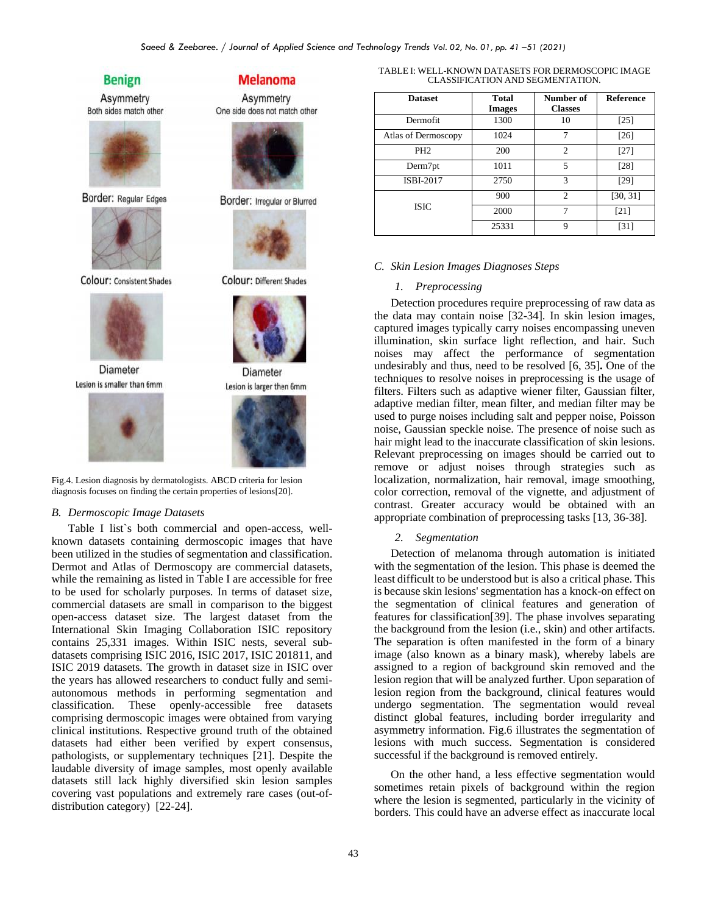## **Benign**

Asymmetry Both sides match other



Border: Regular Edges



Colour: Consistent Shades



Diameter Lesion is smaller than 6mm



**Melanoma** 

Asymmetry One side does not match other



Border: Irregular or Blurred



Colour: Different Shades



Diameter



Fig.4. Lesion diagnosis by dermatologists. ABCD criteria for lesion diagnosis focuses on finding the certain properties of lesions[20].

#### *B. Dermoscopic Image Datasets*

Table I list`s both commercial and open-access, wellknown datasets containing dermoscopic images that have been utilized in the studies of segmentation and classification. Dermot and Atlas of Dermoscopy are commercial datasets, while the remaining as listed in Table I are accessible for free to be used for scholarly purposes. In terms of dataset size, commercial datasets are small in comparison to the biggest open-access dataset size. The largest dataset from the International Skin Imaging Collaboration ISIC repository contains 25,331 images. Within ISIC nests, several subdatasets comprising ISIC 2016, ISIC 2017, ISIC 201811, and ISIC 2019 datasets. The growth in dataset size in ISIC over the years has allowed researchers to conduct fully and semiautonomous methods in performing segmentation and classification. These openly-accessible free datasets comprising dermoscopic images were obtained from varying clinical institutions. Respective ground truth of the obtained datasets had either been verified by expert consensus, pathologists, or supplementary techniques [21]. Despite the laudable diversity of image samples, most openly available datasets still lack highly diversified skin lesion samples covering vast populations and extremely rare cases (out-ofdistribution category) [22-24].

| TABLE I: WELL-KNOWN DATASETS FOR DERMOSCOPIC IMAGE |
|----------------------------------------------------|
| CLASSIFICATION AND SEGMENTATION.                   |

| <b>Dataset</b>      | <b>Total</b>  | Number of      | <b>Reference</b> |
|---------------------|---------------|----------------|------------------|
|                     | <b>Images</b> | <b>Classes</b> |                  |
| Dermofit            | 1300          | 10             | [25]             |
| Atlas of Dermoscopy | 1024          | 7              | $[26]$           |
| PH <sub>2</sub>     | 200           | $\overline{c}$ | $[27]$           |
| Derm7pt             | 1011          | 5              | [28]             |
| ISBI-2017           | 2750          | 3              | [29]             |
|                     | 900           | $\mathfrak{D}$ | [30, 31]         |
| <b>ISIC</b>         | 2000          | 7              | [21]             |
|                     | 25331         | 9              | [31]             |

#### *C. Skin Lesion Images Diagnoses Steps*

## *1. Preprocessing*

Detection procedures require preprocessing of raw data as the data may contain noise [32-34]. In skin lesion images, captured images typically carry noises encompassing uneven illumination, skin surface light reflection, and hair. Such noises may affect the performance of segmentation undesirably and thus, need to be resolved [6, 35]**.** One of the techniques to resolve noises in preprocessing is the usage of filters. Filters such as adaptive wiener filter, Gaussian filter, adaptive median filter, mean filter, and median filter may be used to purge noises including salt and pepper noise, Poisson noise, Gaussian speckle noise. The presence of noise such as hair might lead to the inaccurate classification of skin lesions. Relevant preprocessing on images should be carried out to remove or adjust noises through strategies such as localization, normalization, hair removal, image smoothing, color correction, removal of the vignette, and adjustment of contrast. Greater accuracy would be obtained with an appropriate combination of preprocessing tasks [13, 36-38].

#### *2. Segmentation*

Detection of melanoma through automation is initiated with the segmentation of the lesion. This phase is deemed the least difficult to be understood but is also a critical phase. This is because skin lesions' segmentation has a knock-on effect on the segmentation of clinical features and generation of features for classification[39]. The phase involves separating the background from the lesion (i.e., skin) and other artifacts. The separation is often manifested in the form of a binary image (also known as a binary mask), whereby labels are assigned to a region of background skin removed and the lesion region that will be analyzed further. Upon separation of lesion region from the background, clinical features would undergo segmentation. The segmentation would reveal distinct global features, including border irregularity and asymmetry information. Fig.6 illustrates the segmentation of lesions with much success. Segmentation is considered successful if the background is removed entirely.

On the other hand, a less effective segmentation would sometimes retain pixels of background within the region where the lesion is segmented, particularly in the vicinity of borders. This could have an adverse effect as inaccurate local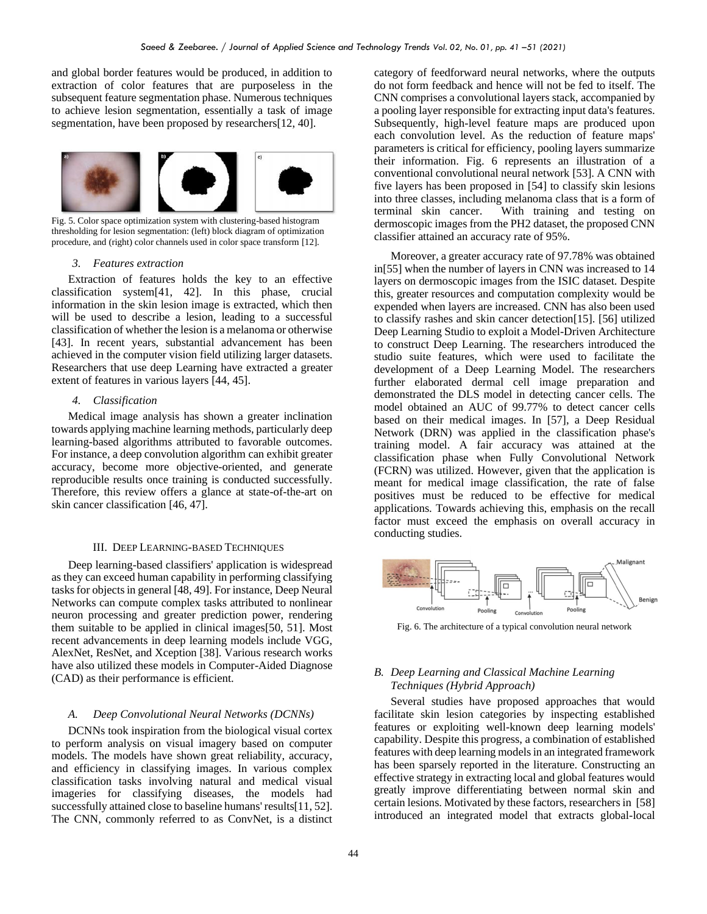and global border features would be produced, in addition to extraction of color features that are purposeless in the subsequent feature segmentation phase. Numerous techniques to achieve lesion segmentation, essentially a task of image segmentation, have been proposed by researchers[12, 40].



Fig. 5. Color space optimization system with clustering-based histogram thresholding for lesion segmentation: (left) block diagram of optimization procedure, and (right) color channels used in color space transform [12].

#### *3. Features extraction*

Extraction of features holds the key to an effective classification system[41, 42]. In this phase, crucial information in the skin lesion image is extracted, which then will be used to describe a lesion, leading to a successful classification of whether the lesion is a melanoma or otherwise [43]. In recent years, substantial advancement has been achieved in the computer vision field utilizing larger datasets. Researchers that use deep Learning have extracted a greater extent of features in various layers [44, 45].

## *4. Classification*

Medical image analysis has shown a greater inclination towards applying machine learning methods, particularly deep learning-based algorithms attributed to favorable outcomes. For instance, a deep convolution algorithm can exhibit greater accuracy, become more objective-oriented, and generate reproducible results once training is conducted successfully. Therefore, this review offers a glance at state-of-the-art on skin cancer classification [46, 47].

#### III. DEEP LEARNING-BASED TECHNIQUES

Deep learning-based classifiers' application is widespread as they can exceed human capability in performing classifying tasks for objects in general [48, 49]. For instance, Deep Neural Networks can compute complex tasks attributed to nonlinear neuron processing and greater prediction power, rendering them suitable to be applied in clinical images[50, 51]. Most recent advancements in deep learning models include VGG, AlexNet, ResNet, and Xception [38]. Various research works have also utilized these models in Computer-Aided Diagnose (CAD) as their performance is efficient.

#### *A. Deep Convolutional Neural Networks (DCNNs)*

DCNNs took inspiration from the biological visual cortex to perform analysis on visual imagery based on computer models. The models have shown great reliability, accuracy, and efficiency in classifying images. In various complex classification tasks involving natural and medical visual imageries for classifying diseases, the models had successfully attained close to baseline humans' results[11, 52]. The CNN, commonly referred to as ConvNet, is a distinct category of feedforward neural networks, where the outputs do not form feedback and hence will not be fed to itself. The CNN comprises a convolutional layers stack, accompanied by a pooling layer responsible for extracting input data's features. Subsequently, high-level feature maps are produced upon each convolution level. As the reduction of feature maps' parameters is critical for efficiency, pooling layers summarize their information. Fig. 6 represents an illustration of a conventional convolutional neural network [53]. A CNN with five layers has been proposed in [54] to classify skin lesions into three classes, including melanoma class that is a form of terminal skin cancer. With training and testing on dermoscopic images from the PH2 dataset, the proposed CNN classifier attained an accuracy rate of 95%.

Moreover, a greater accuracy rate of 97.78% was obtained in[55] when the number of layers in CNN was increased to 14 layers on dermoscopic images from the ISIC dataset. Despite this, greater resources and computation complexity would be expended when layers are increased. CNN has also been used to classify rashes and skin cancer detection[15]. [56] utilized Deep Learning Studio to exploit a Model-Driven Architecture to construct Deep Learning. The researchers introduced the studio suite features, which were used to facilitate the development of a Deep Learning Model. The researchers further elaborated dermal cell image preparation and demonstrated the DLS model in detecting cancer cells. The model obtained an AUC of 99.77% to detect cancer cells based on their medical images. In [57], a Deep Residual Network (DRN) was applied in the classification phase's training model. A fair accuracy was attained at the classification phase when Fully Convolutional Network (FCRN) was utilized. However, given that the application is meant for medical image classification, the rate of false positives must be reduced to be effective for medical applications. Towards achieving this, emphasis on the recall factor must exceed the emphasis on overall accuracy in conducting studies.



Fig. 6. The architecture of a typical convolution neural network

## *B. Deep Learning and Classical Machine Learning Techniques (Hybrid Approach)*

Several studies have proposed approaches that would facilitate skin lesion categories by inspecting established features or exploiting well-known deep learning models' capability. Despite this progress, a combination of established features with deep learning models in an integrated framework has been sparsely reported in the literature. Constructing an effective strategy in extracting local and global features would greatly improve differentiating between normal skin and certain lesions. Motivated by these factors, researchers in [58] introduced an integrated model that extracts global-local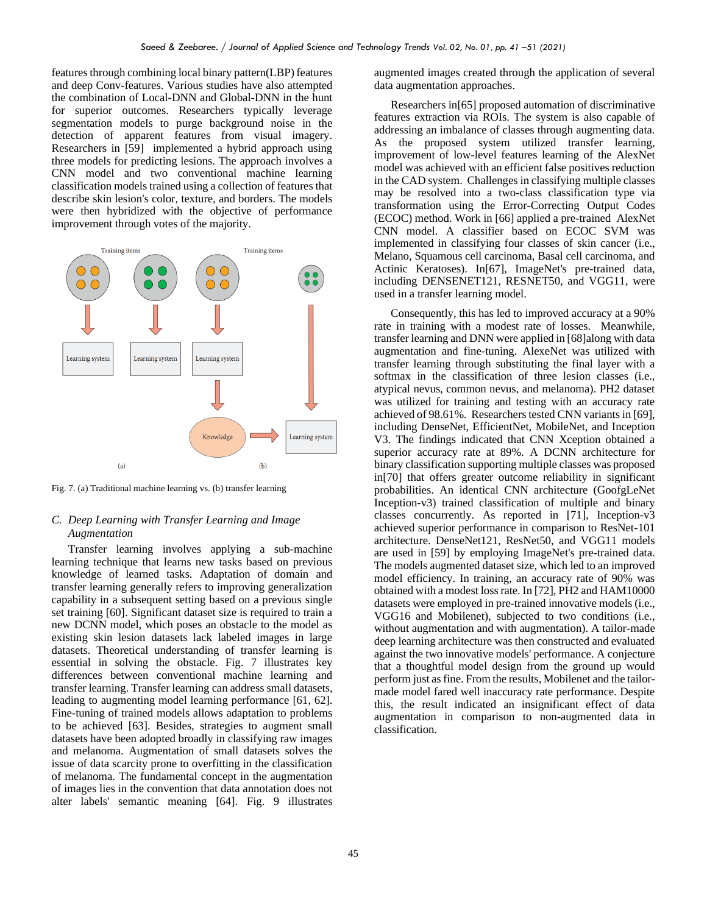features through combining local binary pattern(LBP) features and deep Conv-features. Various studies have also attempted the combination of Local-DNN and Global-DNN in the hunt for superior outcomes. Researchers typically leverage segmentation models to purge background noise in the detection of apparent features from visual imagery. Researchers in [59] implemented a hybrid approach using three models for predicting lesions. The approach involves a CNN model and two conventional machine learning classification models trained using a collection of features that describe skin lesion's color, texture, and borders. The models were then hybridized with the objective of performance improvement through votes of the majority.



Fig. 7. (a) Traditional machine learning vs. (b) transfer learning

## *C. Deep Learning with Transfer Learning and Image Augmentation*

Transfer learning involves applying a sub-machine learning technique that learns new tasks based on previous knowledge of learned tasks. Adaptation of domain and transfer learning generally refers to improving generalization capability in a subsequent setting based on a previous single set training [60]. Significant dataset size is required to train a new DCNN model, which poses an obstacle to the model as existing skin lesion datasets lack labeled images in large datasets. Theoretical understanding of transfer learning is essential in solving the obstacle. Fig. 7 illustrates key differences between conventional machine learning and transfer learning. Transfer learning can address small datasets, leading to augmenting model learning performance [61, 62]. Fine-tuning of trained models allows adaptation to problems to be achieved [63]. Besides, strategies to augment small datasets have been adopted broadly in classifying raw images and melanoma. Augmentation of small datasets solves the issue of data scarcity prone to overfitting in the classification of melanoma. The fundamental concept in the augmentation of images lies in the convention that data annotation does not alter labels' semantic meaning [64]. Fig. 9 illustrates

augmented images created through the application of several data augmentation approaches.

Researchers in[65] proposed automation of discriminative features extraction via ROIs. The system is also capable of addressing an imbalance of classes through augmenting data. As the proposed system utilized transfer learning, improvement of low-level features learning of the AlexNet model was achieved with an efficient false positives reduction in the CAD system. Challenges in classifying multiple classes may be resolved into a two-class classification type via transformation using the Error-Correcting Output Codes (ECOC) method. Work in [66] applied a pre-trained AlexNet CNN model. A classifier based on ECOC SVM was implemented in classifying four classes of skin cancer (i.e., Melano, Squamous cell carcinoma, Basal cell carcinoma, and Actinic Keratoses). In[67], ImageNet's pre-trained data, including DENSENET121, RESNET50, and VGG11, were used in a transfer learning model.

Consequently, this has led to improved accuracy at a 90% rate in training with a modest rate of losses. Meanwhile, transfer learning and DNN were applied in [68]along with data augmentation and fine-tuning. AlexeNet was utilized with transfer learning through substituting the final layer with a softmax in the classification of three lesion classes (i.e., atypical nevus, common nevus, and melanoma). PH2 dataset was utilized for training and testing with an accuracy rate achieved of 98.61%. Researchers tested CNN variants in [69], including DenseNet, EfficientNet, MobileNet, and Inception V3. The findings indicated that CNN Xception obtained a superior accuracy rate at 89%. A DCNN architecture for binary classification supporting multiple classes was proposed in[70] that offers greater outcome reliability in significant probabilities. An identical CNN architecture (GoofgLeNet Inception-v3) trained classification of multiple and binary classes concurrently. As reported in [71], Inception-v3 achieved superior performance in comparison to ResNet-101 architecture. DenseNet121, ResNet50, and VGG11 models are used in [59] by employing ImageNet's pre-trained data. The models augmented dataset size, which led to an improved model efficiency. In training, an accuracy rate of 90% was obtained with a modest loss rate. In [72], PH2 and HAM10000 datasets were employed in pre-trained innovative models (i.e., VGG16 and Mobilenet), subjected to two conditions (i.e., without augmentation and with augmentation). A tailor-made deep learning architecture was then constructed and evaluated against the two innovative models' performance. A conjecture that a thoughtful model design from the ground up would perform just as fine. From the results, Mobilenet and the tailormade model fared well inaccuracy rate performance. Despite this, the result indicated an insignificant effect of data augmentation in comparison to non-augmented data in classification.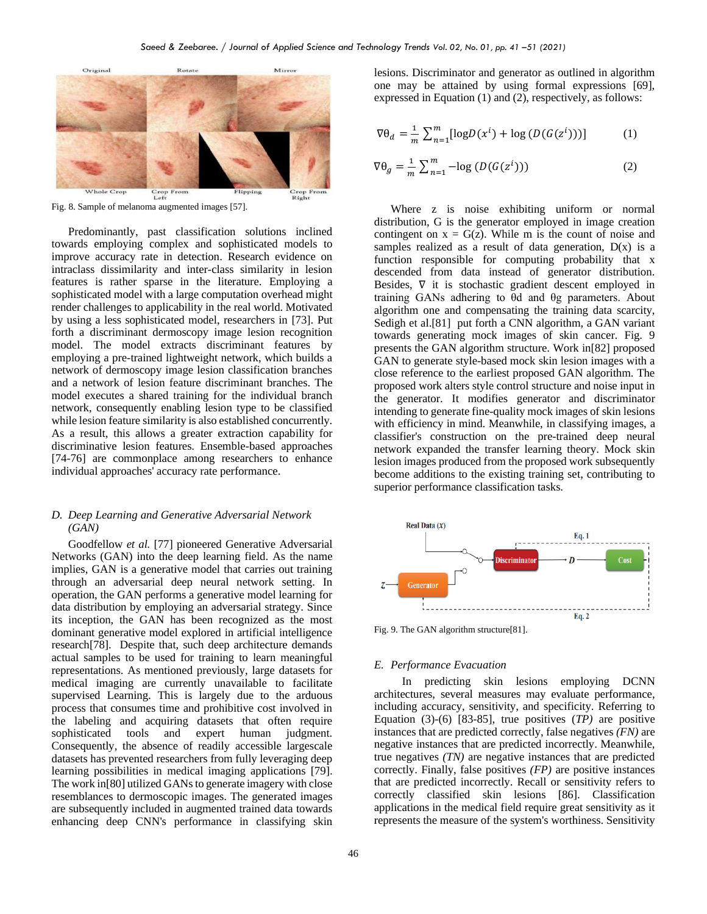

Fig. 8. Sample of melanoma augmented images [57].

Predominantly, past classification solutions inclined towards employing complex and sophisticated models to improve accuracy rate in detection. Research evidence on intraclass dissimilarity and inter-class similarity in lesion features is rather sparse in the literature. Employing a sophisticated model with a large computation overhead might render challenges to applicability in the real world. Motivated by using a less sophisticated model, researchers in [73]. Put forth a discriminant dermoscopy image lesion recognition model. The model extracts discriminant features by employing a pre-trained lightweight network, which builds a network of dermoscopy image lesion classification branches and a network of lesion feature discriminant branches. The model executes a shared training for the individual branch network, consequently enabling lesion type to be classified while lesion feature similarity is also established concurrently. As a result, this allows a greater extraction capability for discriminative lesion features. Ensemble-based approaches [74-76] are commonplace among researchers to enhance individual approaches' accuracy rate performance.

## *D. Deep Learning and Generative Adversarial Network (GAN)*

Goodfellow *et al.* [77] pioneered Generative Adversarial Networks (GAN) into the deep learning field. As the name implies, GAN is a generative model that carries out training through an adversarial deep neural network setting. In operation, the GAN performs a generative model learning for data distribution by employing an adversarial strategy. Since its inception, the GAN has been recognized as the most dominant generative model explored in artificial intelligence research[78]. Despite that, such deep architecture demands actual samples to be used for training to learn meaningful representations. As mentioned previously, large datasets for medical imaging are currently unavailable to facilitate supervised Learning. This is largely due to the arduous process that consumes time and prohibitive cost involved in the labeling and acquiring datasets that often require sophisticated tools and expert human judgment. Consequently, the absence of readily accessible largescale datasets has prevented researchers from fully leveraging deep learning possibilities in medical imaging applications [79]. The work in[80] utilized GANs to generate imagery with close resemblances to dermoscopic images. The generated images are subsequently included in augmented trained data towards enhancing deep CNN's performance in classifying skin lesions. Discriminator and generator as outlined in algorithm one may be attained by using formal expressions [69], expressed in Equation (1) and (2), respectively, as follows:

$$
\nabla \theta_d = \frac{1}{m} \sum_{n=1}^m \left[ \log D(x^i) + \log \left( D(G(z^i)) \right) \right] \tag{1}
$$

$$
\nabla \theta_g = \frac{1}{m} \sum_{n=1}^{m} -\log \left( D(G(z^i)) \right) \tag{2}
$$

Where z is noise exhibiting uniform or normal distribution, G is the generator employed in image creation contingent on  $x = G(z)$ . While m is the count of noise and samples realized as a result of data generation,  $D(x)$  is a function responsible for computing probability that x descended from data instead of generator distribution. Besides, ∇ it is stochastic gradient descent employed in training GANs adhering to θd and θg parameters. About algorithm one and compensating the training data scarcity, Sedigh et al.<sup>[81]</sup> put forth a CNN algorithm, a GAN variant towards generating mock images of skin cancer. Fig. 9 presents the GAN algorithm structure. Work in[82] proposed GAN to generate style-based mock skin lesion images with a close reference to the earliest proposed GAN algorithm. The proposed work alters style control structure and noise input in the generator. It modifies generator and discriminator intending to generate fine-quality mock images of skin lesions with efficiency in mind. Meanwhile, in classifying images, a classifier's construction on the pre-trained deep neural network expanded the transfer learning theory. Mock skin lesion images produced from the proposed work subsequently become additions to the existing training set, contributing to superior performance classification tasks.



Fig. 9. The GAN algorithm structure[81].

#### *E. Performance Evacuation*

 In predicting skin lesions employing DCNN architectures, several measures may evaluate performance, including accuracy, sensitivity, and specificity. Referring to Equation (3)-(6) [83-85], true positives (*TP)* are positive instances that are predicted correctly, false negatives *(FN)* are negative instances that are predicted incorrectly. Meanwhile, true negatives *(TN)* are negative instances that are predicted correctly. Finally, false positives *(FP)* are positive instances that are predicted incorrectly. Recall or sensitivity refers to correctly classified skin lesions [86]. Classification applications in the medical field require great sensitivity as it represents the measure of the system's worthiness. Sensitivity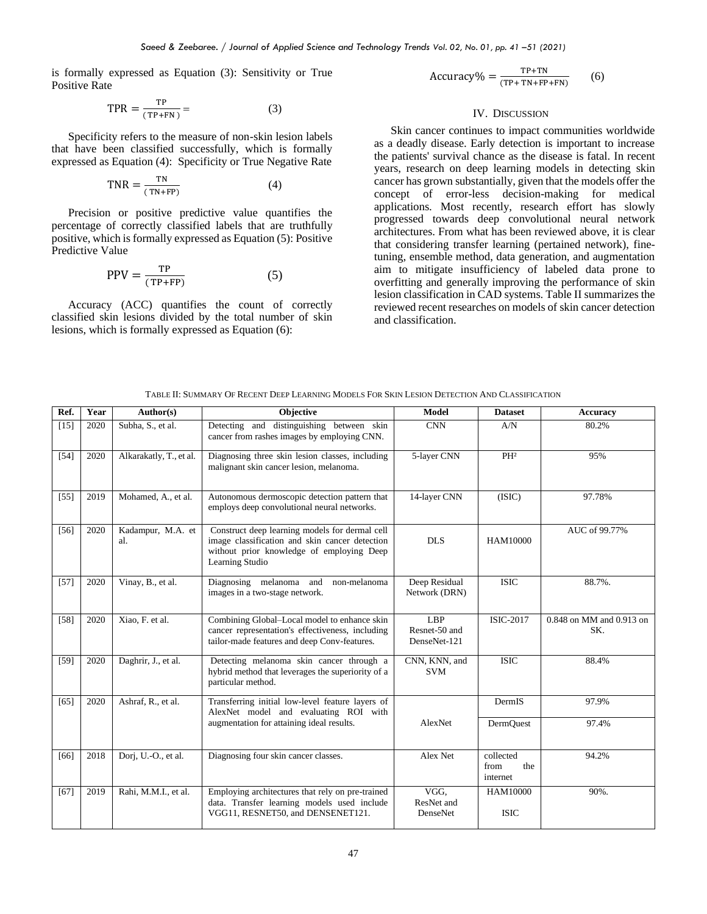is formally expressed as Equation (3): Sensitivity or True Positive Rate

$$
TPR = \frac{TP}{(TP+FN)} = \tag{3}
$$

Specificity refers to the measure of non-skin lesion labels that have been classified successfully, which is formally expressed as Equation (4): Specificity or True Negative Rate

$$
TNR = \frac{TN}{(TN + FP)}
$$
 (4)

Precision or positive predictive value quantifies the percentage of correctly classified labels that are truthfully positive, which is formally expressed as Equation (5): Positive Predictive Value

$$
PPV = \frac{TP}{(TP + FP)}
$$
 (5)

Accuracy (ACC) quantifies the count of correctly classified skin lesions divided by the total number of skin lesions, which is formally expressed as Equation (6):

 $Accuracy\% = \frac{TP + TN}{(TP) + TN + FP}$ (TP+ TN+FP+FN) (6)

## IV. DISCUSSION

Skin cancer continues to impact communities worldwide as a deadly disease. Early detection is important to increase the patients' survival chance as the disease is fatal. In recent years, research on deep learning models in detecting skin cancer has grown substantially, given that the models offer the concept of error-less decision-making for medical applications. Most recently, research effort has slowly progressed towards deep convolutional neural network architectures. From what has been reviewed above, it is clear that considering transfer learning (pertained network), finetuning, ensemble method, data generation, and augmentation aim to mitigate insufficiency of labeled data prone to overfitting and generally improving the performance of skin lesion classification in CAD systems. Table II summarizes the reviewed recent researches on models of skin cancer detection and classification.

| TABLE II: SUMMARY OF RECENT DEEP LEARNING MODELS FOR SKIN LESION DETECTION AND CLASSIFICATION |
|-----------------------------------------------------------------------------------------------|
|                                                                                               |

| Ref.   | Year | Author(s)                | <b>Objective</b>                                                                                                                                                 | <b>Model</b>                         | <b>Dataset</b>                       | <b>Accuracy</b>                 |
|--------|------|--------------------------|------------------------------------------------------------------------------------------------------------------------------------------------------------------|--------------------------------------|--------------------------------------|---------------------------------|
| $[15]$ | 2020 | Subha, S., et al.        | Detecting and distinguishing between skin<br>cancer from rashes images by employing CNN.                                                                         | <b>CNN</b>                           | A/N                                  | 80.2%                           |
| $[54]$ | 2020 | Alkarakatly, T., et al.  | Diagnosing three skin lesion classes, including<br>malignant skin cancer lesion, melanoma.                                                                       | 5-layer CNN                          | PH <sup>2</sup>                      | 95%                             |
| $[55]$ | 2019 | Mohamed, A., et al.      | Autonomous dermoscopic detection pattern that<br>employs deep convolutional neural networks.                                                                     | 14-layer CNN                         | (ISIC)                               | 97.78%                          |
| $[56]$ | 2020 | Kadampur, M.A. et<br>al. | Construct deep learning models for dermal cell<br>image classification and skin cancer detection<br>without prior knowledge of employing Deep<br>Learning Studio | <b>DLS</b>                           | HAM10000                             | AUC of 99.77%                   |
| $[57]$ | 2020 | Vinay, B., et al.        | Diagnosing melanoma and<br>non-melanoma<br>images in a two-stage network.                                                                                        | Deep Residual<br>Network (DRN)       | <b>ISIC</b>                          | 88.7%.                          |
| $[58]$ | 2020 | Xiao, F. et al.          | Combining Global-Local model to enhance skin<br>cancer representation's effectiveness, including<br>tailor-made features and deep Conv-features.                 | LBP<br>Resnet-50 and<br>DenseNet-121 | <b>ISIC-2017</b>                     | 0.848 on MM and 0.913 on<br>SK. |
| $[59]$ | 2020 | Daghrir, J., et al.      | Detecting melanoma skin cancer through a<br>hybrid method that leverages the superiority of a<br>particular method.                                              | CNN, KNN, and<br><b>SVM</b>          | <b>ISIC</b>                          | 88.4%                           |
| [65]   | 2020 | Ashraf, R., et al.       | Transferring initial low-level feature layers of<br>AlexNet model and evaluating ROI with                                                                        |                                      | DermIS                               | 97.9%                           |
|        |      |                          | augmentation for attaining ideal results.                                                                                                                        | AlexNet                              | DermQuest                            | 97.4%                           |
| [66]   | 2018 | Dorj, U.-O., et al.      | Diagnosing four skin cancer classes.                                                                                                                             | Alex Net                             | collected<br>from<br>the<br>internet | 94.2%                           |
| [67]   | 2019 | Rahi, M.M.I., et al.     | Employing architectures that rely on pre-trained<br>data. Transfer learning models used include<br>VGG11, RESNET50, and DENSENET121.                             | VGG.<br>ResNet and<br>DenseNet       | HAM10000<br><b>ISIC</b>              | 90%.                            |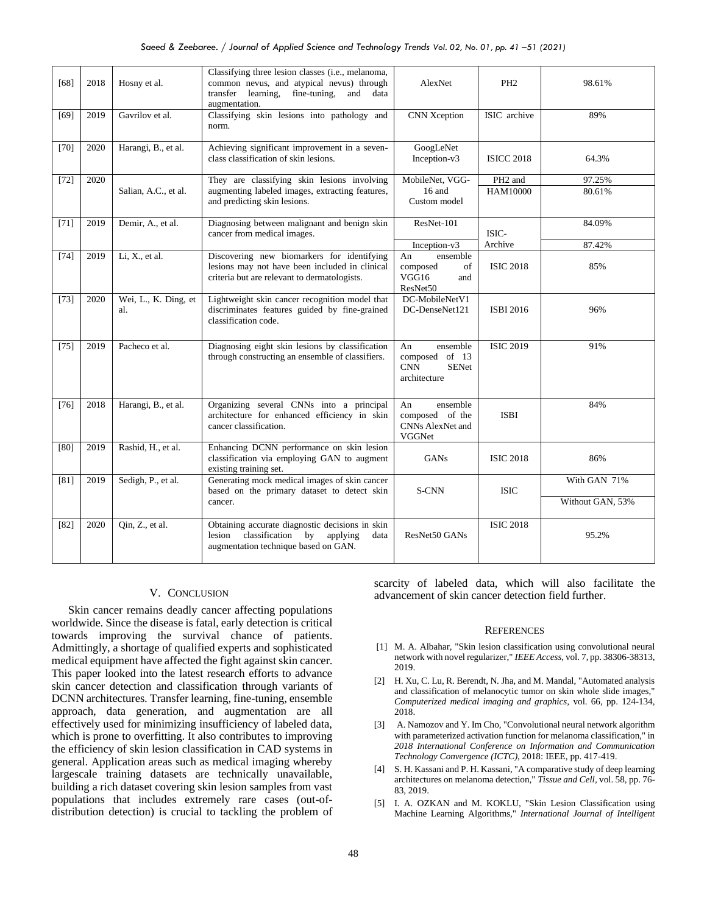| [68]   | 2018 | Hosny et al.                | Classifying three lesion classes (i.e., melanoma,<br>common nevus, and atypical nevus) through<br>transfer learning, fine-tuning,<br>and<br>data<br>augmentation. | AlexNet                                                                        | PH <sub>2</sub>                        | 98.61%                           |
|--------|------|-----------------------------|-------------------------------------------------------------------------------------------------------------------------------------------------------------------|--------------------------------------------------------------------------------|----------------------------------------|----------------------------------|
| [69]   | 2019 | Gavrilov et al.             | Classifying skin lesions into pathology and<br>norm.                                                                                                              | CNN Xception                                                                   | ISIC archive                           | 89%                              |
| $[70]$ | 2020 | Harangi, B., et al.         | Achieving significant improvement in a seven-<br>class classification of skin lesions.                                                                            | GoogLeNet<br>Inception-v3                                                      | <b>ISICC 2018</b>                      | 64.3%                            |
| $[72]$ | 2020 | Salian, A.C., et al.        | They are classifying skin lesions involving<br>augmenting labeled images, extracting features,<br>and predicting skin lesions.                                    | MobileNet, VGG-<br>16 and<br>Custom model                                      | PH <sub>2</sub> and<br><b>HAM10000</b> | 97.25%<br>80.61%                 |
| $[71]$ | 2019 | Demir, A., et al.           | Diagnosing between malignant and benign skin<br>cancer from medical images.                                                                                       | ResNet-101                                                                     | ISIC-<br>Archive                       | 84.09%                           |
| $[74]$ | 2019 | Li, X., et al.              | Discovering new biomarkers for identifying<br>lesions may not have been included in clinical<br>criteria but are relevant to dermatologists.                      | Inception-v3<br>An<br>ensemble<br>composed<br>of<br>VGG16<br>and<br>ResNet50   | <b>ISIC 2018</b>                       | 87.42%<br>85%                    |
| $[73]$ | 2020 | Wei, L., K. Ding, et<br>al. | Lightweight skin cancer recognition model that<br>discriminates features guided by fine-grained<br>classification code.                                           | DC-MobileNetV1<br>DC-DenseNet121                                               | ISBI 2016                              | 96%                              |
| $[75]$ | 2019 | Pacheco et al.              | Diagnosing eight skin lesions by classification<br>through constructing an ensemble of classifiers.                                                               | An<br>ensemble<br>composed of 13<br><b>CNN</b><br><b>SENet</b><br>architecture | <b>ISIC 2019</b>                       | 91%                              |
| $[76]$ | 2018 | Harangi, B., et al.         | Organizing several CNNs into a principal<br>architecture for enhanced efficiency in skin<br>cancer classification.                                                | ensemble<br>An<br>composed of the<br>CNNs AlexNet and<br>VGGNet                | <b>ISBI</b>                            | 84%                              |
| [80]   | 2019 | Rashid, H., et al.          | Enhancing DCNN performance on skin lesion<br>classification via employing GAN to augment<br>existing training set.                                                | GANs                                                                           | <b>ISIC 2018</b>                       | 86%                              |
| [81]   | 2019 | Sedigh, P., et al.          | Generating mock medical images of skin cancer<br>based on the primary dataset to detect skin<br>cancer.                                                           | S-CNN                                                                          | <b>ISIC</b>                            | With GAN 71%<br>Without GAN, 53% |
| $[82]$ | 2020 | Qin, Z., et al.             | Obtaining accurate diagnostic decisions in skin<br>classification by applying<br>lesion<br>data<br>augmentation technique based on GAN.                           | ResNet50 GANs                                                                  | <b>ISIC 2018</b>                       | 95.2%                            |

### V. CONCLUSION

Skin cancer remains deadly cancer affecting populations worldwide. Since the disease is fatal, early detection is critical towards improving the survival chance of patients. Admittingly, a shortage of qualified experts and sophisticated medical equipment have affected the fight against skin cancer. This paper looked into the latest research efforts to advance skin cancer detection and classification through variants of DCNN architectures. Transfer learning, fine-tuning, ensemble approach, data generation, and augmentation are all effectively used for minimizing insufficiency of labeled data, which is prone to overfitting. It also contributes to improving the efficiency of skin lesion classification in CAD systems in general. Application areas such as medical imaging whereby largescale training datasets are technically unavailable, building a rich dataset covering skin lesion samples from vast populations that includes extremely rare cases (out-ofdistribution detection) is crucial to tackling the problem of scarcity of labeled data, which will also facilitate the advancement of skin cancer detection field further.

#### **REFERENCES**

- [1] M. A. Albahar, "Skin lesion classification using convolutional neural network with novel regularizer," *IEEE Access,* vol. 7, pp. 38306-38313, 2019.
- [2] H. Xu, C. Lu, R. Berendt, N. Jha, and M. Mandal, "Automated analysis and classification of melanocytic tumor on skin whole slide images," *Computerized medical imaging and graphics,* vol. 66, pp. 124-134, 2018.
- [3] A. Namozov and Y. Im Cho, "Convolutional neural network algorithm with parameterized activation function for melanoma classification," in *2018 International Conference on Information and Communication Technology Convergence (ICTC)*, 2018: IEEE, pp. 417-419.
- [4] S. H. Kassani and P. H. Kassani, "A comparative study of deep learning architectures on melanoma detection," *Tissue and Cell,* vol. 58, pp. 76- 83, 2019.
- [5] I. A. OZKAN and M. KOKLU, "Skin Lesion Classification using Machine Learning Algorithms," *International Journal of Intelligent*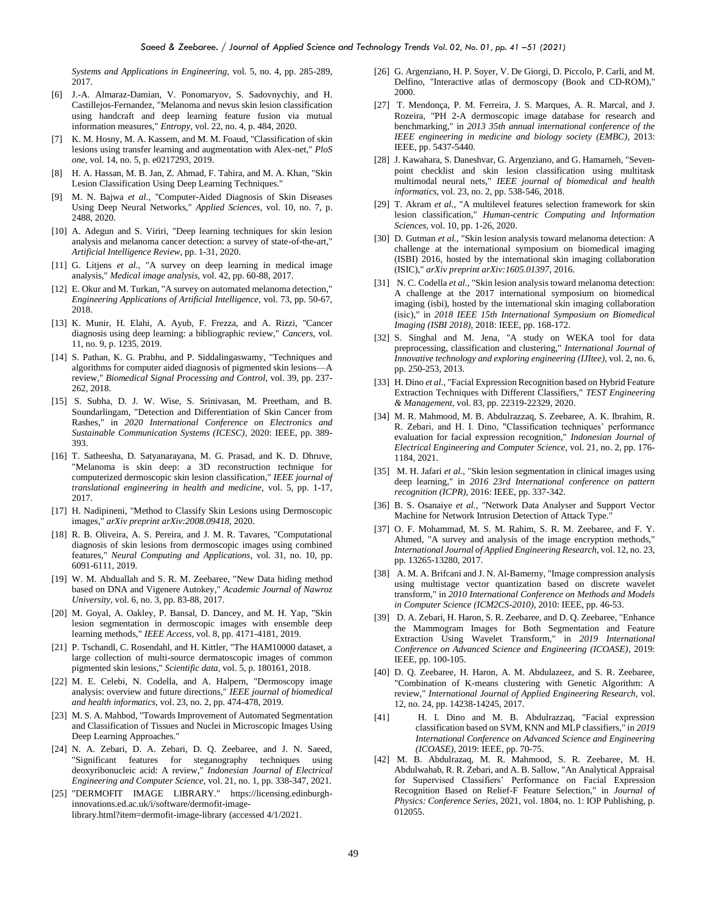*Systems and Applications in Engineering,* vol. 5, no. 4, pp. 285-289, 2017.

- [6] J.-A. Almaraz-Damian, V. Ponomaryov, S. Sadovnychiy, and H. Castillejos-Fernandez, "Melanoma and nevus skin lesion classification using handcraft and deep learning feature fusion via mutual information measures," *Entropy,* vol. 22, no. 4, p. 484, 2020.
- [7] K. M. Hosny, M. A. Kassem, and M. M. Foaud, "Classification of skin lesions using transfer learning and augmentation with Alex-net," *PloS one,* vol. 14, no. 5, p. e0217293, 2019.
- [8] H. A. Hassan, M. B. Jan, Z. Ahmad, F. Tahira, and M. A. Khan, "Skin Lesion Classification Using Deep Learning Techniques."
- [9] M. N. Bajwa *et al.*, "Computer-Aided Diagnosis of Skin Diseases Using Deep Neural Networks," *Applied Sciences,* vol. 10, no. 7, p. 2488, 2020.
- [10] A. Adegun and S. Viriri, "Deep learning techniques for skin lesion analysis and melanoma cancer detection: a survey of state-of-the-art," *Artificial Intelligence Review,* pp. 1-31, 2020.
- [11] G. Litjens *et al.*, "A survey on deep learning in medical image analysis," *Medical image analysis,* vol. 42, pp. 60-88, 2017.
- [12] E. Okur and M. Turkan, "A survey on automated melanoma detection," *Engineering Applications of Artificial Intelligence,* vol. 73, pp. 50-67, 2018.
- [13] K. Munir, H. Elahi, A. Ayub, F. Frezza, and A. Rizzi, "Cancer diagnosis using deep learning: a bibliographic review," *Cancers,* vol. 11, no. 9, p. 1235, 2019.
- [14] S. Pathan, K. G. Prabhu, and P. Siddalingaswamy, "Techniques and algorithms for computer aided diagnosis of pigmented skin lesions—A review," *Biomedical Signal Processing and Control,* vol. 39, pp. 237- 262, 2018.
- [15] S. Subha, D. J. W. Wise, S. Srinivasan, M. Preetham, and B. Soundarlingam, "Detection and Differentiation of Skin Cancer from Rashes," in *2020 International Conference on Electronics and Sustainable Communication Systems (ICESC)*, 2020: IEEE, pp. 389- 393.
- [16] T. Satheesha, D. Satyanarayana, M. G. Prasad, and K. D. Dhruve, "Melanoma is skin deep: a 3D reconstruction technique for computerized dermoscopic skin lesion classification," *IEEE journal of translational engineering in health and medicine,* vol. 5, pp. 1-17, 2017.
- [17] H. Nadipineni, "Method to Classify Skin Lesions using Dermoscopic images," *arXiv preprint arXiv:2008.09418,* 2020.
- [18] R. B. Oliveira, A. S. Pereira, and J. M. R. Tavares, "Computational diagnosis of skin lesions from dermoscopic images using combined features," *Neural Computing and Applications,* vol. 31, no. 10, pp. 6091-6111, 2019.
- [19] W. M. Abduallah and S. R. M. Zeebaree, "New Data hiding method based on DNA and Vigenere Autokey," *Academic Journal of Nawroz University,* vol. 6, no. 3, pp. 83-88, 2017.
- [20] M. Goyal, A. Oakley, P. Bansal, D. Dancey, and M. H. Yap, "Skin lesion segmentation in dermoscopic images with ensemble deep learning methods," *IEEE Access,* vol. 8, pp. 4171-4181, 2019.
- [21] P. Tschandl, C. Rosendahl, and H. Kittler, "The HAM10000 dataset, a large collection of multi-source dermatoscopic images of common pigmented skin lesions," *Scientific data,* vol. 5, p. 180161, 2018.
- [22] M. E. Celebi, N. Codella, and A. Halpern, "Dermoscopy image analysis: overview and future directions," *IEEE journal of biomedical and health informatics,* vol. 23, no. 2, pp. 474-478, 2019.
- [23] M. S. A. Mahbod, "Towards Improvement of Automated Segmentation and Classification of Tissues and Nuclei in Microscopic Images Using Deep Learning Approaches."
- [24] N. A. Zebari, D. A. Zebari, D. Q. Zeebaree, and J. N. Saeed, "Significant features for steganography techniques using deoxyribonucleic acid: A review," *Indonesian Journal of Electrical Engineering and Computer Science,* vol. 21, no. 1, pp. 338-347, 2021.
- [25] "DERMOFIT IMAGE LIBRARY." https://licensing.edinburghinnovations.ed.ac.uk/i/software/dermofit-imagelibrary.html?item=dermofit-image-library (accessed 4/1/2021.
- [26] G. Argenziano, H. P. Soyer, V. De Giorgi, D. Piccolo, P. Carli, and M. Delfino, "Interactive atlas of dermoscopy (Book and CD-ROM)," 2000.
- [27] T. Mendonça, P. M. Ferreira, J. S. Marques, A. R. Marcal, and J. Rozeira, "PH 2-A dermoscopic image database for research and benchmarking," in *2013 35th annual international conference of the IEEE engineering in medicine and biology society (EMBC)*, 2013: IEEE, pp. 5437-5440.
- [28] J. Kawahara, S. Daneshvar, G. Argenziano, and G. Hamarneh, "Sevenpoint checklist and skin lesion classification using multitask multimodal neural nets," *IEEE journal of biomedical and health informatics,* vol. 23, no. 2, pp. 538-546, 2018.
- [29] T. Akram *et al.*, "A multilevel features selection framework for skin lesion classification," *Human-centric Computing and Information Sciences,* vol. 10, pp. 1-26, 2020.
- [30] D. Gutman *et al.*, "Skin lesion analysis toward melanoma detection: A challenge at the international symposium on biomedical imaging (ISBI) 2016, hosted by the international skin imaging collaboration (ISIC)," *arXiv preprint arXiv:1605.01397,* 2016.
- [31] N. C. Codella *et al.*, "Skin lesion analysis toward melanoma detection: A challenge at the 2017 international symposium on biomedical imaging (isbi), hosted by the international skin imaging collaboration (isic)," in *2018 IEEE 15th International Symposium on Biomedical Imaging (ISBI 2018)*, 2018: IEEE, pp. 168-172.
- [32] S. Singhal and M. Jena, "A study on WEKA tool for data preprocessing, classification and clustering," *International Journal of Innovative technology and exploring engineering (IJItee),* vol. 2, no. 6, pp. 250-253, 2013.
- [33] H. Dino et al., "Facial Expression Recognition based on Hybrid Feature Extraction Techniques with Different Classifiers," *TEST Engineering & Management,* vol. 83, pp. 22319-22329, 2020.
- [34] M. R. Mahmood, M. B. Abdulrazzaq, S. Zeebaree, A. K. Ibrahim, R. R. Zebari, and H. I. Dino, "Classification techniques' performance evaluation for facial expression recognition," *Indonesian Journal of Electrical Engineering and Computer Science,* vol. 21, no. 2, pp. 176- 1184, 2021.
- [35] M. H. Jafari *et al.*, "Skin lesion segmentation in clinical images using deep learning," in *2016 23rd International conference on pattern recognition (ICPR)*, 2016: IEEE, pp. 337-342.
- [36] B. S. Osanaiye et al., "Network Data Analyser and Support Vector Machine for Network Intrusion Detection of Attack Type.
- [37] O. F. Mohammad, M. S. M. Rahim, S. R. M. Zeebaree, and F. Y. Ahmed, "A survey and analysis of the image encryption methods," *International Journal of Applied Engineering Research,* vol. 12, no. 23, pp. 13265-13280, 2017.
- [38] A. M. A. Brifcani and J. N. Al-Bamerny, "Image compression analysis using multistage vector quantization based on discrete wavelet transform," in *2010 International Conference on Methods and Models in Computer Science (ICM2CS-2010)*, 2010: IEEE, pp. 46-53.
- [39] D. A. Zebari, H. Haron, S. R. Zeebaree, and D. O. Zeebaree, "Enhance the Mammogram Images for Both Segmentation and Feature Extraction Using Wavelet Transform," in *2019 International Conference on Advanced Science and Engineering (ICOASE)*, 2019: IEEE, pp. 100-105.
- [40] D. Q. Zeebaree, H. Haron, A. M. Abdulazeez, and S. R. Zeebaree, "Combination of K-means clustering with Genetic Algorithm: A review," *International Journal of Applied Engineering Research,* vol. 12, no. 24, pp. 14238-14245, 2017.
- [41] H. I. Dino and M. B. Abdulrazzaq, "Facial expression classification based on SVM, KNN and MLP classifiers," in *2019 International Conference on Advanced Science and Engineering (ICOASE)*, 2019: IEEE, pp. 70-75.
- [42] M. B. Abdulrazaq, M. R. Mahmood, S. R. Zeebaree, M. H. Abdulwahab, R. R. Zebari, and A. B. Sallow, "An Analytical Appraisal for Supervised Classifiers' Performance on Facial Expression Recognition Based on Relief-F Feature Selection," in *Journal of Physics: Conference Series*, 2021, vol. 1804, no. 1: IOP Publishing, p. 012055.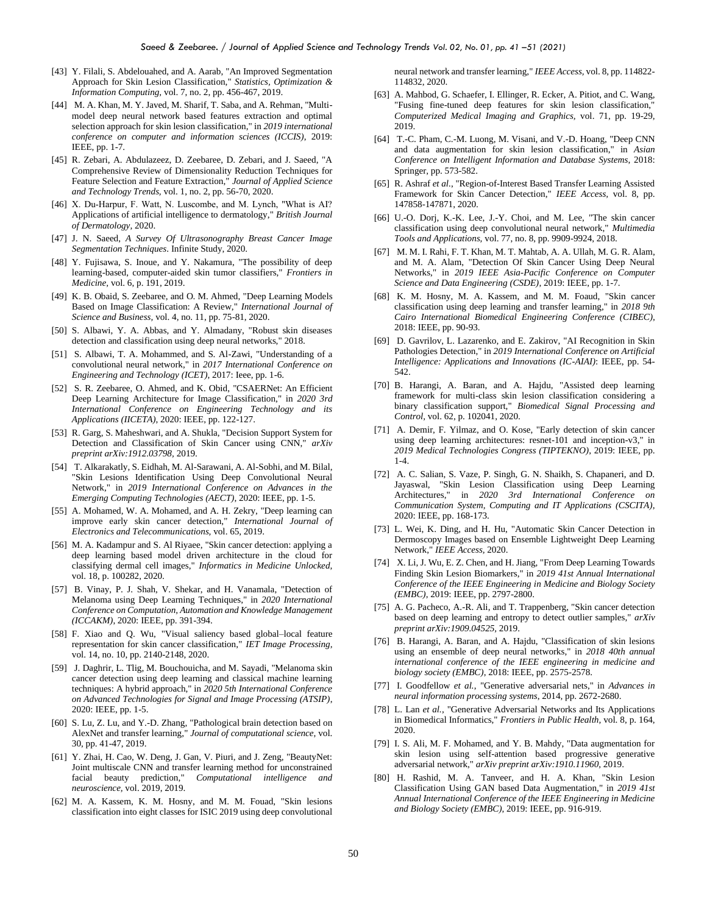- [43] Y. Filali, S. Abdelouahed, and A. Aarab, "An Improved Segmentation Approach for Skin Lesion Classification," *Statistics, Optimization & Information Computing,* vol. 7, no. 2, pp. 456-467, 2019.
- [44] M. A. Khan, M. Y. Javed, M. Sharif, T. Saba, and A. Rehman, "Multimodel deep neural network based features extraction and optimal selection approach for skin lesion classification," in *2019 international conference on computer and information sciences (ICCIS)*, 2019: IEEE, pp. 1-7.
- [45] R. Zebari, A. Abdulazeez, D. Zeebaree, D. Zebari, and J. Saeed, "A Comprehensive Review of Dimensionality Reduction Techniques for Feature Selection and Feature Extraction," *Journal of Applied Science and Technology Trends,* vol. 1, no. 2, pp. 56-70, 2020.
- [46] X. Du-Harpur, F. Watt, N. Luscombe, and M. Lynch, "What is AI? Applications of artificial intelligence to dermatology," *British Journal of Dermatology,* 2020.
- [47] J. N. Saeed, *A Survey Of Ultrasonography Breast Cancer Image Segmentation Techniques*. Infinite Study, 2020.
- [48] Y. Fujisawa, S. Inoue, and Y. Nakamura, "The possibility of deep learning-based, computer-aided skin tumor classifiers," *Frontiers in Medicine,* vol. 6, p. 191, 2019.
- [49] K. B. Obaid, S. Zeebaree, and O. M. Ahmed, "Deep Learning Models Based on Image Classification: A Review," *International Journal of Science and Business,* vol. 4, no. 11, pp. 75-81, 2020.
- [50] S. Albawi, Y. A. Abbas, and Y. Almadany, "Robust skin diseases detection and classification using deep neural networks," 2018.
- [51] S. Albawi, T. A. Mohammed, and S. Al-Zawi, "Understanding of a convolutional neural network," in *2017 International Conference on Engineering and Technology (ICET)*, 2017: Ieee, pp. 1-6.
- [52] S. R. Zeebaree, O. Ahmed, and K. Obid, "CSAERNet: An Efficient Deep Learning Architecture for Image Classification," in *2020 3rd International Conference on Engineering Technology and its Applications (IICETA)*, 2020: IEEE, pp. 122-127.
- [53] R. Garg, S. Maheshwari, and A. Shukla, "Decision Support System for Detection and Classification of Skin Cancer using CNN," *arXiv preprint arXiv:1912.03798,* 2019.
- [54] T. Alkarakatly, S. Eidhah, M. Al-Sarawani, A. Al-Sobhi, and M. Bilal, "Skin Lesions Identification Using Deep Convolutional Neural Network," in *2019 International Conference on Advances in the Emerging Computing Technologies (AECT)*, 2020: IEEE, pp. 1-5.
- [55] A. Mohamed, W. A. Mohamed, and A. H. Zekry, "Deep learning can improve early skin cancer detection," *International Journal of Electronics and Telecommunications,* vol. 65, 2019.
- [56] M. A. Kadampur and S. Al Riyaee, "Skin cancer detection: applying a deep learning based model driven architecture in the cloud for classifying dermal cell images," *Informatics in Medicine Unlocked,*  vol. 18, p. 100282, 2020.
- [57] B. Vinay, P. J. Shah, V. Shekar, and H. Vanamala, "Detection of Melanoma using Deep Learning Techniques," in *2020 International Conference on Computation, Automation and Knowledge Management (ICCAKM)*, 2020: IEEE, pp. 391-394.
- [58] F. Xiao and Q. Wu, "Visual saliency based global–local feature representation for skin cancer classification," *IET Image Processing,*  vol. 14, no. 10, pp. 2140-2148, 2020.
- [59] J. Daghrir, L. Tlig, M. Bouchouicha, and M. Sayadi, "Melanoma skin cancer detection using deep learning and classical machine learning techniques: A hybrid approach," in *2020 5th International Conference on Advanced Technologies for Signal and Image Processing (ATSIP)*, 2020: IEEE, pp. 1-5.
- [60] S. Lu, Z. Lu, and Y.-D. Zhang, "Pathological brain detection based on AlexNet and transfer learning," *Journal of computational science,* vol. 30, pp. 41-47, 2019.
- [61] Y. Zhai, H. Cao, W. Deng, J. Gan, V. Piuri, and J. Zeng, "BeautyNet: Joint multiscale CNN and transfer learning method for unconstrained<br>facial beauty prediction," Computational intelligence and  $Computational$  *intelligence and neuroscience,* vol. 2019, 2019.
- [62] M. A. Kassem, K. M. Hosny, and M. M. Fouad, "Skin lesions classification into eight classes for ISIC 2019 using deep convolutional

neural network and transfer learning," *IEEE Access,* vol. 8, pp. 114822- 114832, 2020.

- [63] A. Mahbod, G. Schaefer, I. Ellinger, R. Ecker, A. Pitiot, and C. Wang, "Fusing fine-tuned deep features for skin lesion classification," *Computerized Medical Imaging and Graphics,* vol. 71, pp. 19-29, 2019.
- [64] T.-C. Pham, C.-M. Luong, M. Visani, and V.-D. Hoang, "Deep CNN and data augmentation for skin lesion classification," in *Asian Conference on Intelligent Information and Database Systems*, 2018: Springer, pp. 573-582.
- [65] R. Ashraf *et al.*, "Region-of-Interest Based Transfer Learning Assisted Framework for Skin Cancer Detection," *IEEE Access,* vol. 8, pp. 147858-147871, 2020.
- [66] U.-O. Dorj, K.-K. Lee, J.-Y. Choi, and M. Lee, "The skin cancer classification using deep convolutional neural network," *Multimedia Tools and Applications,* vol. 77, no. 8, pp. 9909-9924, 2018.
- [67] M. M. I. Rahi, F. T. Khan, M. T. Mahtab, A. A. Ullah, M. G. R. Alam, and M. A. Alam, "Detection Of Skin Cancer Using Deep Neural Networks," in *2019 IEEE Asia-Pacific Conference on Computer Science and Data Engineering (CSDE)*, 2019: IEEE, pp. 1-7.
- [68] K. M. Hosny, M. A. Kassem, and M. M. Foaud, "Skin cancer classification using deep learning and transfer learning," in *2018 9th Cairo International Biomedical Engineering Conference (CIBEC)*, 2018: IEEE, pp. 90-93.
- [69] D. Gavrilov, L. Lazarenko, and E. Zakirov, "AI Recognition in Skin Pathologies Detection," in *2019 International Conference on Artificial Intelligence: Applications and Innovations (IC-AIAI)*: IEEE, pp. 54- 542.
- [70] B. Harangi, A. Baran, and A. Hajdu, "Assisted deep learning framework for multi-class skin lesion classification considering a binary classification support," *Biomedical Signal Processing and Control,* vol. 62, p. 102041, 2020.
- [71] A. Demir, F. Yilmaz, and O. Kose, "Early detection of skin cancer using deep learning architectures: resnet-101 and inception-v3," in *2019 Medical Technologies Congress (TIPTEKNO)*, 2019: IEEE, pp. 1-4.
- [72] A. C. Salian, S. Vaze, P. Singh, G. N. Shaikh, S. Chapaneri, and D. Jayaswal, "Skin Lesion Classification using Deep Learning Architectures," in *2020 3rd International Conference on Communication System, Computing and IT Applications (CSCITA)*, 2020: IEEE, pp. 168-173.
- [73] L. Wei, K. Ding, and H. Hu, "Automatic Skin Cancer Detection in Dermoscopy Images based on Ensemble Lightweight Deep Learning Network," *IEEE Access,* 2020.
- [74] X. Li, J. Wu, E. Z. Chen, and H. Jiang, "From Deep Learning Towards Finding Skin Lesion Biomarkers," in *2019 41st Annual International Conference of the IEEE Engineering in Medicine and Biology Society (EMBC)*, 2019: IEEE, pp. 2797-2800.
- [75] A. G. Pacheco, A.-R. Ali, and T. Trappenberg, "Skin cancer detection based on deep learning and entropy to detect outlier samples," *arXiv preprint arXiv:1909.04525,* 2019.
- [76] B. Harangi, A. Baran, and A. Hajdu, "Classification of skin lesions using an ensemble of deep neural networks," in *2018 40th annual international conference of the IEEE engineering in medicine and biology society (EMBC)*, 2018: IEEE, pp. 2575-2578.
- [77] I. Goodfellow *et al.*, "Generative adversarial nets," in *Advances in neural information processing systems*, 2014, pp. 2672-2680.
- [78] L. Lan *et al.*, "Generative Adversarial Networks and Its Applications in Biomedical Informatics," *Frontiers in Public Health,* vol. 8, p. 164, 2020.
- [79] I. S. Ali, M. F. Mohamed, and Y. B. Mahdy, "Data augmentation for skin lesion using self-attention based progressive generative adversarial network," *arXiv preprint arXiv:1910.11960,* 2019.
- [80] H. Rashid, M. A. Tanveer, and H. A. Khan, "Skin Lesion Classification Using GAN based Data Augmentation," in *2019 41st Annual International Conference of the IEEE Engineering in Medicine and Biology Society (EMBC)*, 2019: IEEE, pp. 916-919.